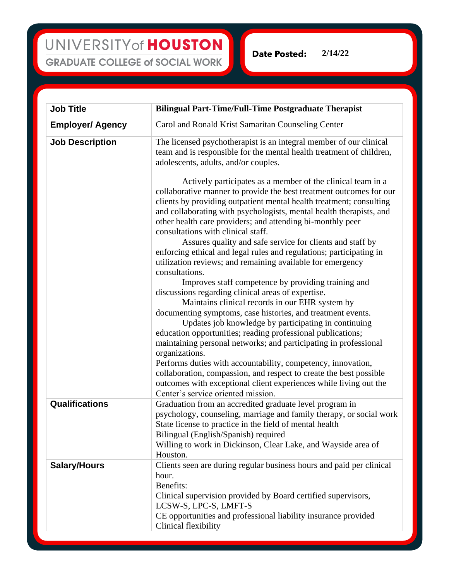| <b>Job Title</b>        | <b>Bilingual Part-Time/Full-Time Postgraduate Therapist</b>                                                                                                                                                                                                                                                                                                                          |
|-------------------------|--------------------------------------------------------------------------------------------------------------------------------------------------------------------------------------------------------------------------------------------------------------------------------------------------------------------------------------------------------------------------------------|
| <b>Employer/ Agency</b> | Carol and Ronald Krist Samaritan Counseling Center                                                                                                                                                                                                                                                                                                                                   |
| <b>Job Description</b>  | The licensed psychotherapist is an integral member of our clinical<br>team and is responsible for the mental health treatment of children,<br>adolescents, adults, and/or couples.                                                                                                                                                                                                   |
|                         | Actively participates as a member of the clinical team in a<br>collaborative manner to provide the best treatment outcomes for our<br>clients by providing outpatient mental health treatment; consulting<br>and collaborating with psychologists, mental health therapists, and<br>other health care providers; and attending bi-monthly peer<br>consultations with clinical staff. |
|                         | Assures quality and safe service for clients and staff by<br>enforcing ethical and legal rules and regulations; participating in<br>utilization reviews; and remaining available for emergency<br>consultations.                                                                                                                                                                     |
|                         | Improves staff competence by providing training and<br>discussions regarding clinical areas of expertise.<br>Maintains clinical records in our EHR system by                                                                                                                                                                                                                         |
|                         | documenting symptoms, case histories, and treatment events.<br>Updates job knowledge by participating in continuing<br>education opportunities; reading professional publications;                                                                                                                                                                                                   |
|                         | maintaining personal networks; and participating in professional<br>organizations.<br>Performs duties with accountability, competency, innovation,<br>collaboration, compassion, and respect to create the best possible<br>outcomes with exceptional client experiences while living out the<br>Center's service oriented mission.                                                  |
| Qualifications          | Graduation from an accredited graduate level program in<br>psychology, counseling, marriage and family therapy, or social work<br>State license to practice in the field of mental health<br>Bilingual (English/Spanish) required<br>Willing to work in Dickinson, Clear Lake, and Wayside area of<br>Houston.                                                                       |
| <b>Salary/Hours</b>     | Clients seen are during regular business hours and paid per clinical<br>hour.<br>Benefits:<br>Clinical supervision provided by Board certified supervisors,                                                                                                                                                                                                                          |
|                         | LCSW-S, LPC-S, LMFT-S<br>CE opportunities and professional liability insurance provided<br>Clinical flexibility                                                                                                                                                                                                                                                                      |